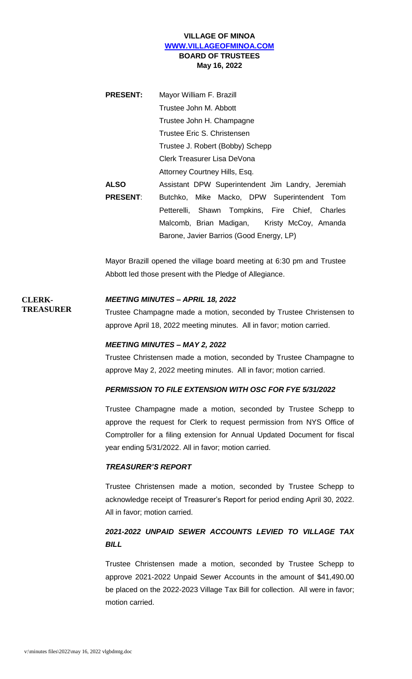# **VILLAGE OF MINOA [WWW.VILLAGEOFMINOA.COM](http://www.villageofminoa.com/) BOARD OF TRUSTEES May 16, 2022**

| <b>PRESENT:</b> | Mayor William F. Brazill                          |
|-----------------|---------------------------------------------------|
|                 | Trustee John M. Abbott                            |
|                 | Trustee John H. Champagne                         |
|                 | Trustee Eric S. Christensen                       |
|                 | Trustee J. Robert (Bobby) Schepp                  |
|                 | Clerk Treasurer Lisa DeVona                       |
|                 | Attorney Courtney Hills, Esq.                     |
| <b>ALSO</b>     | Assistant DPW Superintendent Jim Landry, Jeremiah |
| <b>PRESENT:</b> | Butchko, Mike Macko, DPW Superintendent Tom       |
|                 | Petterelli, Shawn Tompkins, Fire Chief, Charles   |
|                 | Malcomb, Brian Madigan, Kristy McCoy, Amanda      |
|                 | Barone, Javier Barrios (Good Energy, LP)          |

Mayor Brazill opened the village board meeting at 6:30 pm and Trustee Abbott led those present with the Pledge of Allegiance.

# *MEETING MINUTES – APRIL 18, 2022*

Trustee Champagne made a motion, seconded by Trustee Christensen to approve April 18, 2022 meeting minutes. All in favor; motion carried.

# *MEETING MINUTES – MAY 2, 2022*

Trustee Christensen made a motion, seconded by Trustee Champagne to approve May 2, 2022 meeting minutes. All in favor; motion carried.

# *PERMISSION TO FILE EXTENSION WITH OSC FOR FYE 5/31/2022*

Trustee Champagne made a motion, seconded by Trustee Schepp to approve the request for Clerk to request permission from NYS Office of Comptroller for a filing extension for Annual Updated Document for fiscal year ending 5/31/2022. All in favor; motion carried.

### *TREASURER'S REPORT*

Trustee Christensen made a motion, seconded by Trustee Schepp to acknowledge receipt of Treasurer's Report for period ending April 30, 2022. All in favor; motion carried.

# *2021-2022 UNPAID SEWER ACCOUNTS LEVIED TO VILLAGE TAX BILL*

Trustee Christensen made a motion, seconded by Trustee Schepp to approve 2021-2022 Unpaid Sewer Accounts in the amount of \$41,490.00 be placed on the 2022-2023 Village Tax Bill for collection. All were in favor; motion carried.

**CLERK-**

**TREASURER**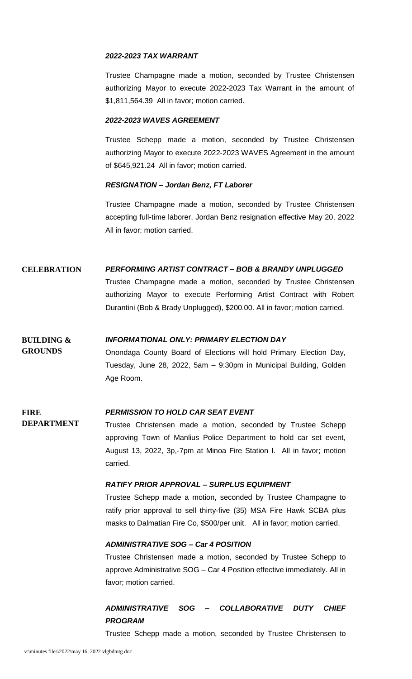## *2022-2023 TAX WARRANT*

Trustee Champagne made a motion, seconded by Trustee Christensen authorizing Mayor to execute 2022-2023 Tax Warrant in the amount of \$1,811,564.39 All in favor; motion carried.

### *2022-2023 WAVES AGREEMENT*

Trustee Schepp made a motion, seconded by Trustee Christensen authorizing Mayor to execute 2022-2023 WAVES Agreement in the amount of \$645,921.24 All in favor; motion carried.

# *RESIGNATION – Jordan Benz, FT Laborer*

Trustee Champagne made a motion, seconded by Trustee Christensen accepting full-time laborer, Jordan Benz resignation effective May 20, 2022 All in favor; motion carried.

# **CELEBRATION** *PERFORMING ARTIST CONTRACT – BOB & BRANDY UNPLUGGED*

Trustee Champagne made a motion, seconded by Trustee Christensen authorizing Mayor to execute Performing Artist Contract with Robert Durantini (Bob & Brady Unplugged), \$200.00. All in favor; motion carried.

#### **BUILDING &**  *INFORMATIONAL ONLY: PRIMARY ELECTION DAY*

Onondaga County Board of Elections will hold Primary Election Day, Tuesday, June 28, 2022, 5am – 9:30pm in Municipal Building, Golden Age Room.

#### **FIRE**  *PERMISSION TO HOLD CAR SEAT EVENT*

**DEPARTMENT** Trustee Christensen made a motion, seconded by Trustee Schepp approving Town of Manlius Police Department to hold car set event, August 13, 2022, 3p,-7pm at Minoa Fire Station I. All in favor; motion carried.

# *RATIFY PRIOR APPROVAL – SURPLUS EQUIPMENT*

Trustee Schepp made a motion, seconded by Trustee Champagne to ratify prior approval to sell thirty-five (35) MSA Fire Hawk SCBA plus masks to Dalmatian Fire Co, \$500/per unit. All in favor; motion carried.

# *ADMINISTRATIVE SOG – Car 4 POSITION*

Trustee Christensen made a motion, seconded by Trustee Schepp to approve Administrative SOG – Car 4 Position effective immediately. All in favor; motion carried.

# *ADMINISTRATIVE SOG – COLLABORATIVE DUTY CHIEF PROGRAM*

Trustee Schepp made a motion, seconded by Trustee Christensen to

**GROUNDS**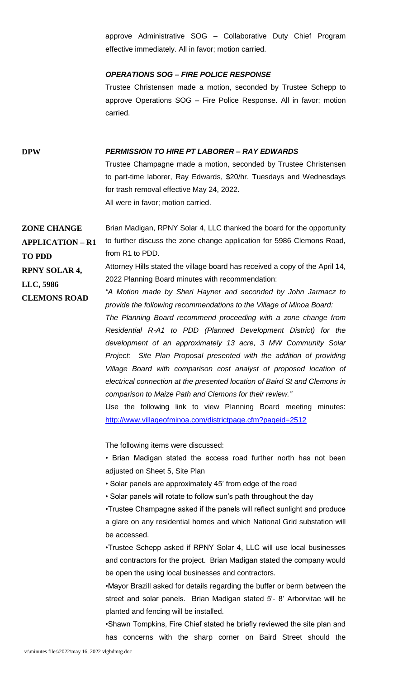approve Administrative SOG – Collaborative Duty Chief Program effective immediately. All in favor; motion carried.

### *OPERATIONS SOG – FIRE POLICE RESPONSE*

Trustee Christensen made a motion, seconded by Trustee Schepp to approve Operations SOG – Fire Police Response. All in favor; motion carried.

# **DPW** *PERMISSION TO HIRE PT LABORER – RAY EDWARDS*

Trustee Champagne made a motion, seconded by Trustee Christensen to part-time laborer, Ray Edwards, \$20/hr. Tuesdays and Wednesdays for trash removal effective May 24, 2022. All were in favor; motion carried.

**ZONE CHANGE APPLICATION – R1 TO PDD** Brian Madigan, RPNY Solar 4, LLC thanked the board for the opportunity to further discuss the zone change application for 5986 Clemons Road, from R1 to PDD.

> Attorney Hills stated the village board has received a copy of the April 14, 2022 Planning Board minutes with recommendation:

*"A Motion made by Sheri Hayner and seconded by John Jarmacz to provide the following recommendations to the Village of Minoa Board:*

*The Planning Board recommend proceeding with a zone change from Residential R-A1 to PDD (Planned Development District) for the development of an approximately 13 acre, 3 MW Community Solar Project: Site Plan Proposal presented with the addition of providing Village Board with comparison cost analyst of proposed location of electrical connection at the presented location of Baird St and Clemons in comparison to Maize Path and Clemons for their review."*

Use the following link to view Planning Board meeting minutes: <http://www.villageofminoa.com/districtpage.cfm?pageid=2512>

The following items were discussed:

• Brian Madigan stated the access road further north has not been adjusted on Sheet 5, Site Plan

- Solar panels are approximately 45' from edge of the road
- Solar panels will rotate to follow sun's path throughout the day

•Trustee Champagne asked if the panels will reflect sunlight and produce a glare on any residential homes and which National Grid substation will be accessed.

•Trustee Schepp asked if RPNY Solar 4, LLC will use local businesses and contractors for the project. Brian Madigan stated the company would be open the using local businesses and contractors.

•Mayor Brazill asked for details regarding the buffer or berm between the street and solar panels. Brian Madigan stated 5'- 8' Arborvitae will be planted and fencing will be installed.

•Shawn Tompkins, Fire Chief stated he briefly reviewed the site plan and has concerns with the sharp corner on Baird Street should the

**RPNY SOLAR 4,** 

**CLEMONS ROAD**

**LLC, 5986**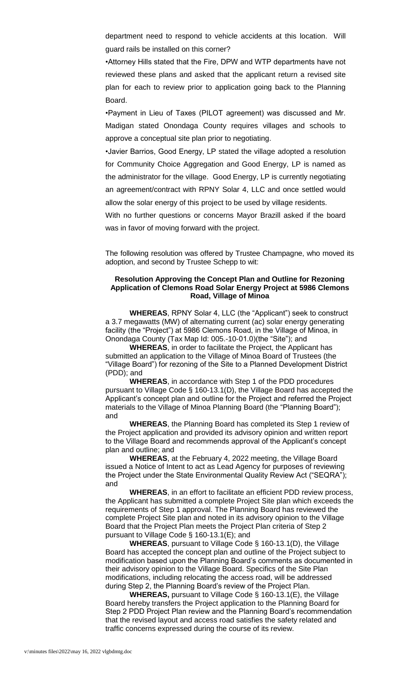department need to respond to vehicle accidents at this location. Will guard rails be installed on this corner?

•Attorney Hills stated that the Fire, DPW and WTP departments have not reviewed these plans and asked that the applicant return a revised site plan for each to review prior to application going back to the Planning Board.

•Payment in Lieu of Taxes (PILOT agreement) was discussed and Mr. Madigan stated Onondaga County requires villages and schools to approve a conceptual site plan prior to negotiating.

•Javier Barrios, Good Energy, LP stated the village adopted a resolution for Community Choice Aggregation and Good Energy, LP is named as the administrator for the village. Good Energy, LP is currently negotiating an agreement/contract with RPNY Solar 4, LLC and once settled would allow the solar energy of this project to be used by village residents.

With no further questions or concerns Mayor Brazill asked if the board was in favor of moving forward with the project.

The following resolution was offered by Trustee Champagne, who moved its adoption, and second by Trustee Schepp to wit:

### **Resolution Approving the Concept Plan and Outline for Rezoning Application of Clemons Road Solar Energy Project at 5986 Clemons Road, Village of Minoa**

**WHEREAS**, RPNY Solar 4, LLC (the "Applicant") seek to construct a 3.7 megawatts (MW) of alternating current (ac) solar energy generating facility (the "Project") at 5986 Clemons Road, in the Village of Minoa, in Onondaga County (Tax Map Id: 005.-10‐01.0)(the "Site"); and

**WHEREAS**, in order to facilitate the Project, the Applicant has submitted an application to the Village of Minoa Board of Trustees (the "Village Board") for rezoning of the Site to a Planned Development District (PDD); and

**WHEREAS**, in accordance with Step 1 of the PDD procedures pursuant to Village Code § 160-13.1(D), the Village Board has accepted the Applicant's concept plan and outline for the Project and referred the Project materials to the Village of Minoa Planning Board (the "Planning Board"); and

**WHEREAS**, the Planning Board has completed its Step 1 review of the Project application and provided its advisory opinion and written report to the Village Board and recommends approval of the Applicant's concept plan and outline; and

**WHEREAS**, at the February 4, 2022 meeting, the Village Board issued a Notice of Intent to act as Lead Agency for purposes of reviewing the Project under the State Environmental Quality Review Act ("SEQRA"); and

**WHEREAS**, in an effort to facilitate an efficient PDD review process, the Applicant has submitted a complete Project Site plan which exceeds the requirements of Step 1 approval. The Planning Board has reviewed the complete Project Site plan and noted in its advisory opinion to the Village Board that the Project Plan meets the Project Plan criteria of Step 2 pursuant to Village Code § 160-13.1(E); and

**WHEREAS**, pursuant to Village Code § 160-13.1(D), the Village Board has accepted the concept plan and outline of the Project subject to modification based upon the Planning Board's comments as documented in their advisory opinion to the Village Board. Specifics of the Site Plan modifications, including relocating the access road, will be addressed during Step 2, the Planning Board's review of the Project Plan.

**WHEREAS,** pursuant to Village Code § 160-13.1(E), the Village Board hereby transfers the Project application to the Planning Board for Step 2 PDD Project Plan review and the Planning Board's recommendation that the revised layout and access road satisfies the safety related and traffic concerns expressed during the course of its review.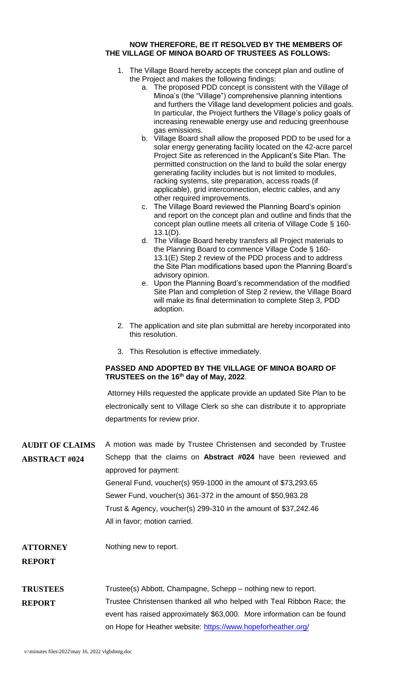### **NOW THEREFORE, BE IT RESOLVED BY THE MEMBERS OF THE VILLAGE OF MINOA BOARD OF TRUSTEES AS FOLLOWS:**

- 1. The Village Board hereby accepts the concept plan and outline of the Project and makes the following findings:
	- a. The proposed PDD concept is consistent with the Village of Minoa's (the "Village") comprehensive planning intentions and furthers the Village land development policies and goals. In particular, the Project furthers the Village's policy goals of increasing renewable energy use and reducing greenhouse gas emissions.
	- b. Village Board shall allow the proposed PDD to be used for a solar energy generating facility located on the 42-acre parcel Project Site as referenced in the Applicant's Site Plan. The permitted construction on the land to build the solar energy generating facility includes but is not limited to modules, racking systems, site preparation, access roads (if applicable), grid interconnection, electric cables, and any other required improvements.
	- c. The Village Board reviewed the Planning Board's opinion and report on the concept plan and outline and finds that the concept plan outline meets all criteria of Village Code § 160- 13.1(D).
	- d. The Village Board hereby transfers all Project materials to the Planning Board to commence Village Code § 160- 13.1(E) Step 2 review of the PDD process and to address the Site Plan modifications based upon the Planning Board's advisory opinion.
	- e. Upon the Planning Board's recommendation of the modified Site Plan and completion of Step 2 review, the Village Board will make its final determination to complete Step 3, PDD adoption.
- 2. The application and site plan submittal are hereby incorporated into this resolution.
- 3. This Resolution is effective immediately.

# **PASSED AND ADOPTED BY THE VILLAGE OF MINOA BOARD OF TRUSTEES on the 16th day of May, 2022**.

Attorney Hills requested the applicate provide an updated Site Plan to be electronically sent to Village Clerk so she can distribute it to appropriate departments for review prior.

**AUDIT OF CLAIMS ABSTRACT #024** A motion was made by Trustee Christensen and seconded by Trustee Schepp that the claims on **Abstract #024** have been reviewed and approved for payment: General Fund, voucher(s) 959-1000 in the amount of \$73,293.65 Sewer Fund, voucher(s) 361-372 in the amount of \$50,983.28 Trust & Agency, voucher(s) 299-310 in the amount of \$37,242.46 All in favor; motion carried. **ATTORNEY REPORT** Nothing new to report. **TRUSTEES REPORT** Trustee(s) Abbott, Champagne, Schepp – nothing new to report. Trustee Christensen thanked all who helped with Teal Ribbon Race; the event has raised approximately \$63,000. More information can be found on Hope for Heather website:<https://www.hopeforheather.org/>